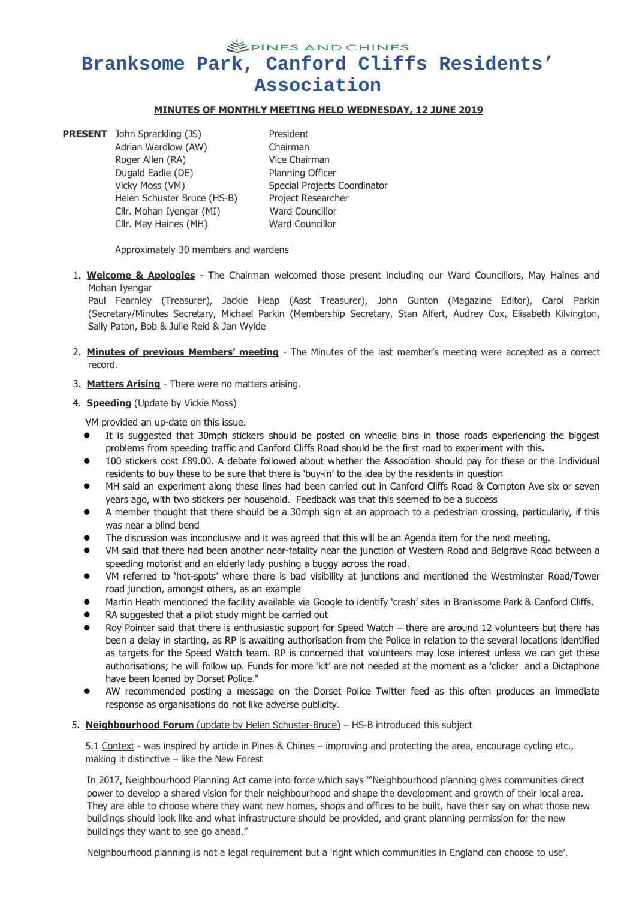**SPINES AND CHINES Branksome Park, Canford Cliffs Residents' Association**

### **MINUTES OF MONTHLY MEETING HELD WEDNESDAY, 12 JUNE 2019**

**PRESENT** John Sprackling (JS) President Adrian Wardlow (AW) Chairman Roger Allen (RA) Vice Chairman Dugald Eadie (DE) Planning Officer Helen Schuster Bruce (HS-B) Project Researcher Cllr. Mohan Iyengar(MI) Ward Councillor

Vicky Moss (VM) Special Projects Coordinator Cllr. May Haines (MH) Ward Councillor

Approximately 30 members and wardens

1. **Welcome & Apologies** - The Chairman welcomed those present including our Ward Councillors, May Haines and Mohan Iyengar

Paul Fearnley (Treasurer), Jackie Heap (Asst Treasurer), John Gunton (Magazine Editor), Carol Parkin (Secretary/Minutes Secretary, Michael Parkin (Membership Secretary, Stan Alfert, Audrey Cox, Elisabeth Kilvington, Sally Paton, Bob & Julie Reid & Jan Wylde

- 2. **Minutes of previous Members' meeting** The Minutes of the last member's meeting were accepted as a correct record.
- 3. **Matters Arising** There were no matters arising.

#### 4. **Speeding** (Update by Vickie Moss)

VM provided an up-date on this issue.

- It is suggested that 30mph stickers should be posted on wheelie bins in those roads experiencing the biggest problems from speeding traffic and Canford Cliffs Road should be the first road to experiment with this.
- 100 stickers cost £89.00. A debate followed about whether the Association should pay for these or the Individual residents to buy these to be sure that there is 'buy-in' to the idea by the residents in question
- MH said an experiment along these lines had been carried out in Canford Cliffs Road & Compton Ave six or seven years ago, with two stickers per household. Feedback was that this seemed to be a success
- A member thought that there should be a 30mph sign at an approach to a pedestrian crossing, particularly, if this was near a blind bend
- The discussion was inconclusive and it was agreed that this will be an Agenda item for the next meeting.
- VM said that there had been another near-fatality near the junction of Western Road and Belgrave Road between a speeding motorist and an elderly lady pushing a buggy across the road.
- VM referred to 'hot-spots' where there is bad visibility at junctions and mentioned the Westminster Road/Tower road junction, amongst others, as an example
- Martin Heath mentioned the facility available via Google to identify 'crash' sites in Branksome Park & Canford Cliffs.
- RA suggested that a pilot study might be carried out
- Roy Pointer said that there is enthusiastic support for Speed Watch there are around 12 volunteers but there has been a delay in starting, as RP is awaiting authorisation from the Police in relation to the several locations identified as targets for the Speed Watch team. RP is concerned that volunteers may lose interest unless we can get these authorisations; he will follow up. Funds for more 'kit' are not needed at the moment as a 'clicker and a Dictaphone have been loaned by Dorset Police."
- AW recommended posting a message on the Dorset Police Twitter feed as this often produces an immediate response as organisations do not like adverse publicity.5. **Neighbourhood Forum** (update by Helen Schuster-Bruce) – HS-B introduced this subject

5.1 Context - was inspired by article in Pines & Chines – improving and protecting the area, encourage cycling etc., making it distinctive – like the New Forest

In 2017, Neighbourhood Planning Act came into force which says "'Neighbourhood planning gives communities direct power to develop a shared vision for their neighbourhood and shape the development and growth of their local area. They are able to choose where they want new homes, shops and offices to be built, have their say on what those new buildings should look like and what infrastructure should be provided, and grant planning permission for the new buildings they want to see go ahead."

Neighbourhood planning is not a legal requirement but a 'right which communities in England can choose to use'.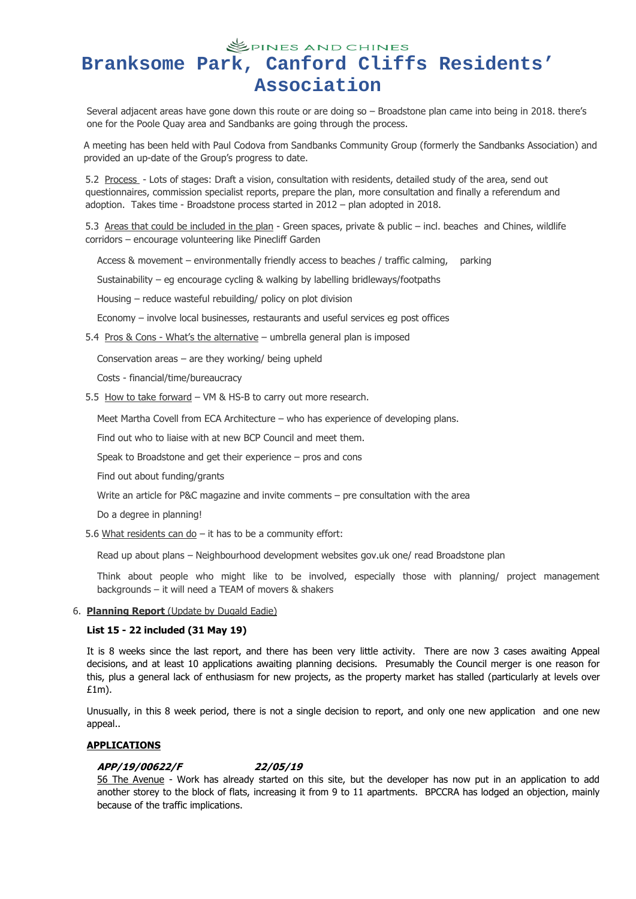## **SPINES AND CHINES Branksome Park, Canford Cliffs Residents' Association**

Several adjacent areas have gone down this route or are doing so – Broadstone plan came into being in 2018. there's one for the Poole Quay area and Sandbanks are going through the process.

A meeting has been held with Paul Codova from Sandbanks Community Group (formerly the Sandbanks Association) and provided an up-date of the Group's progress to date.

5.2 Process - Lots of stages: Draft a vision, consultation with residents, detailed study of the area, send out questionnaires, commission specialist reports, prepare the plan, more consultation and finally a referendum and adoption. Takes time - Broadstone process started in 2012 – plan adopted in 2018.

5.3 Areas that could be included in the plan - Green spaces, private & public – incl. beaches and Chines, wildlife corridors – encourage volunteering like Pinecliff Garden

Access & movement – environmentally friendly access to beaches / traffic calming, parking

Sustainability – eg encourage cycling & walking by labelling bridleways/footpaths

Housing – reduce wasteful rebuilding/ policy on plot division

Economy – involve local businesses, restaurants and useful services eg post offices

5.4 Pros & Cons - What's the alternative – umbrella general plan is imposed

Conservation areas – are they working/ being upheld

Costs - financial/time/bureaucracy

5.5 How to take forward - VM & HS-B to carry out more research.

Meet Martha Covell from ECA Architecture – who has experience of developing plans.

Find out who to liaise with at new BCP Council and meet them.

Speak to Broadstone and get their experience  $-$  pros and cons

Find out about funding/grants

Write an article for P&C magazine and invite comments – pre consultation with the area

Do a degree in planning!

5.6 What residents can do – it has to be a community effort:

Read up about plans – Neighbourhood development websites gov.uk one/ read Broadstone plan

Think about people who might like to be involved, especially those with planning/ project management backgrounds – it will need a TEAM of movers & shakers

#### 6. **Planning Report** (Update by Dugald Eadie)

### **List 15 - 22 included (31 May 19)**

It is 8 weeks since the last report, and there has been very little activity. There are now 3 cases awaiting Appeal decisions, and at least 10 applications awaiting planning decisions. Presumably the Council merger is one reason for this, plus a general lack of enthusiasm for new projects, asthe property market has stalled (particularly at levels over £1m).

Unusually, in this 8 week period, there is not a single decision to report, and only one new application and one new appeal..

### **APPLICATIONS**

### **APP/19/00622/F 22/05/19**

56 The Avenue - Work has already started on this site, but the developer has now put in an application to add another storey to the block of flats, increasing it from 9 to 11 apartments. BPCCRA has lodged an objection, mainly because of the traffic implications.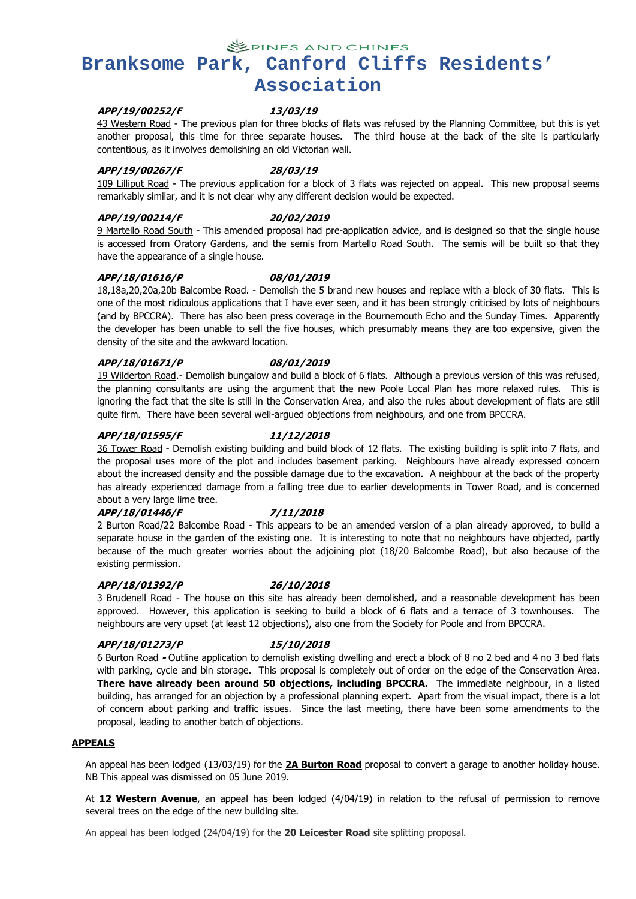**SPINES AND CHINES** 

# **Branksome Park, Canford Cliffs Residents' Association**

### **APP/19/00252/F 13/03/19**

43 Western Road - The previous plan for three blocks of flats was refused by the Planning Committee, but this is yet another proposal, this time for three separate houses. The third house at the back of the site is particularly contentious, as it involves demolishing an old Victorian wall.

### **APP/19/00267/F 28/03/19**

109 Lilliput Road - The previous application for a block of 3 flats was rejected on appeal. This new proposal seems remarkably similar, and it is not clear why any different decision would be expected.

#### **APP/19/00214/F 20/02/2019**

9 Martello Road South -This amended proposal had pre-application advice, and is designed so that the single house is accessed from Oratory Gardens, and the semis from Martello Road South. The semis will be built so that they have the appearance of a single house.

### **APP/18/01616/P 08/01/2019**

18,18a,20,20a,20b Balcombe Road. - Demolish the 5 brand new houses and replace with a block of30 flats. This is one of the most ridiculous applications that I have ever seen, and it has been strongly criticised by lots of neighbours (and by BPCCRA). There has also been press coverage in the Bournemouth Echo and the Sunday Times. Apparently the developer has been unable to sell the five houses, which presumably means they are too expensive, given the density of the site and the awkward location.

#### **APP/18/01671/P 08/01/2019**

19 Wilderton Road.- Demolish bungalow and build a block of 6 flats. Although a previous version of this was refused, the planning consultants are using the argument that the new Poole Local Plan has more relaxed rules. This is ignoring the fact that the site is still in the Conservation Area, and also the rules about development of flats are still quite firm. There have been several well-argued objections from neighbours, and one from BPCCRA.

#### **APP/18/01595/F 11/12/2018**

36 Tower Road - Demolish existing building and build block of 12 flats. The existing building is split into 7 flats, and the proposal uses more of the plot and includes basement parking. Neighbours have already expressed concern about the increased density and the possible damage due to the excavation. A neighbour at the back of the property has already experienced damage from a falling tree due to earlier developments in Tower Road, and is concerned about a very large lime tree.

#### **APP/18/01446/F 7/11/2018**

2 Burton Road/22 Balcombe Road - This appears to be an amended version of a plan already approved, to build a separate house in the garden of the existing one. It is interesting to note that no neighbours have objected, partly because of the much greater worries about the adjoining plot (18/20 Balcombe Road), but also because of the existing permission.

#### **APP/18/01392/P 26/10/2018**

3 Brudenell Road - The house on this site has already been demolished, and a reasonable development has been approved. However, this application is seeking to build a block of 6 flats and a terrace of 3 townhouses. The neighbours are very upset (at least 12 objections), also one from the Society for Poole and from BPCCRA.

#### **APP/18/01273/P 15/10/2018**

6 Burton Road **-** Outline application to demolish existing dwelling and erect a block of 8 no 2 bed and 4 no 3 bed flats with parking, cycle and bin storage. This proposal is completely out of order on the edge of the Conservation Area. **There have already been around 50 objections, including BPCCRA.** The immediate neighbour, in a listed building, has arranged for an objection by a professional planning expert. Apart from the visual impact, there is a lot of concern about parking and traffic issues. Since the last meeting, there have been some amendments to the proposal, leading to another batch of objections.

#### **APPEALS**

An appeal has been lodged (13/03/19) for the **2A Burton Road** proposal to convert a garage to another holiday house. NB This appeal was dismissed on 05 June 2019.

At **12 Western Avenue**, an appeal has been lodged (4/04/19) in relation to the refusal of permission to remove several trees on the edge of the new building site.

An appeal has been lodged (24/04/19) for the **20 Leicester Road** site splitting proposal.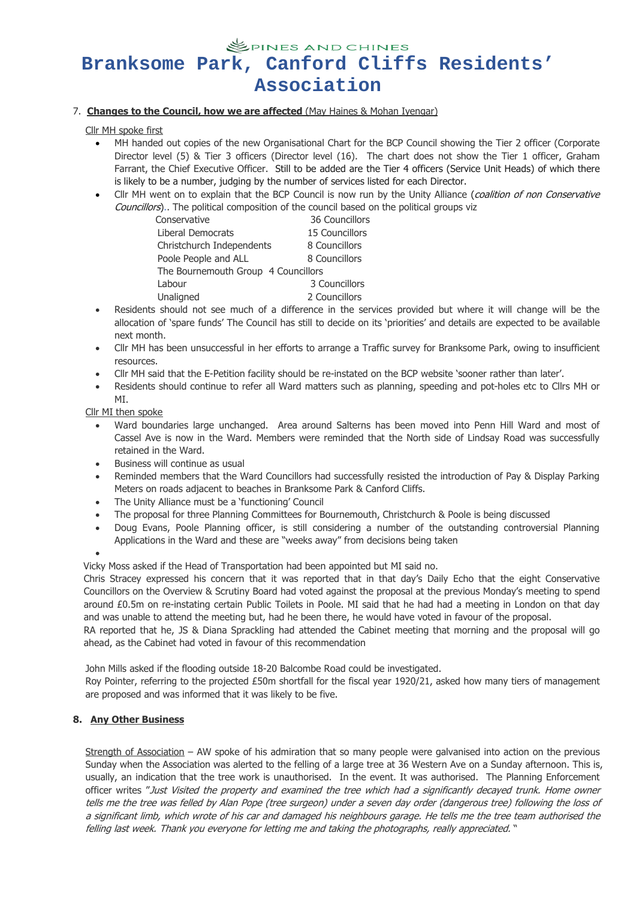# **SPINES AND CHINES Branksome Park, Canford Cliffs Residents' Association**

### 7. **Changes to the Council, how we are affected** (MayHaines & Mohan Iyengar)

### Cllr MH spoke first

- MH handed out copies of the new Organisational Chart for the BCP Council showing the Tier 2 officer (Corporate Director level (5) & Tier 3 officers (Director level (16). The chart does not show the Tier 1 officer, Graham Farrant, the Chief Executive Officer. Still to be added are the Tier 4 officers (Service Unit Heads) of which there is likely to be a number, judging by the number of services listed for each Director.
- Cllr MH went on to explain that the BCP Council is now run by the Unity Alliance (coalition of non Conservative Councillors).. The political composition of the council based on the political groups viz

| 36 Councillors                      |
|-------------------------------------|
| 15 Councillors                      |
| 8 Councillors                       |
| 8 Councillors                       |
| The Bournemouth Group 4 Councillors |
| 3 Councillors                       |
| 2 Councillors                       |
|                                     |

- Residents should not see much of a difference in the services provided but where it will change will be the allocation of 'spare funds' The Council has still to decide on its 'priorities' and details are expected to be available next month.
- Cllr MH has been unsuccessful in her efforts to arrange a Traffic survey for Branksome Park, owing to insufficient **resources**
- Cllr MH said that the E-Petition facility should be re-instated on the BCP website 'sooner rather than later'.
- Residents should continue to refer all Ward matters such as planning, speeding and pot-holes etc to Cllrs MH or MI.

### Cllr MI then spoke

- Ward boundaries large unchanged. Area around Salterns has been moved into Penn Hill Ward and most of Cassel Ave is now in the Ward. Members were reminded that the North side of Lindsay Road was successfully retained in the Ward.
- Business will continue as usual
- Reminded members that the Ward Councillors had successfully resisted the introduction of Pay & Display Parking Meters on roads adjacent to beaches in Branksome Park & Canford Cliffs.
- The Unity Alliance must be a 'functioning' Council
- The proposal for three Planning Committees for Bournemouth, Christchurch & Poole is being discussed
- Doug Evans, Poole Planning officer, is still considering a number of the outstanding controversial Planning Applications in the Ward and these are "weeks away" from decisions being taken

 $\bullet$  and  $\bullet$  and  $\bullet$  and  $\bullet$ 

Vicky Moss asked if the Head of Transportation had been appointed but MI said no.

Chris Stracey expressed his concern that it was reported that in that day's Daily Echo that the eight Conservative Councillors on the Overview & Scrutiny Board had voted against the proposal at the previous Monday's meeting to spend around £0.5m on re-instating certain Public Toilets in Poole. MI said that he had had a meeting in London on that day and was unable to attend the meeting but, had he been there, he would have voted in favour of the proposal.

RA reported that he, JS & Diana Sprackling had attended the Cabinet meeting that morning and the proposal will go ahead, as the Cabinet had voted in favour of this recommendation

John Mills asked if the flooding outside 18-20 Balcombe Road could be investigated.

Roy Pointer, referring to the projected £50m shortfall for the fiscal year 1920/21, asked how many tiers of management are proposed and was informed that it was likely to be five.

### **8. Any Other Business**

Strength of Association – AW spoke of his admiration that so many people were galvanised into action on the previous Sunday when the Association was alerted to the felling of a large tree at 36 Western Ave on a Sunday afternoon. This is, usually, an indication that the tree work is unauthorised. In the event. It was authorised. The Planning Enforcement officer writes "Just Visited the property and examined the tree which had a significantly decayed trunk. Home owner tells me the tree was felled by Alan Pope (tree surgeon) under a seven day order (dangerous tree) following the loss of <sup>a</sup> significant limb, which wrote of his car and damaged his neighbours garage. He tells me the tree team authorised the felling last week. Thank you everyone for letting me and taking the photographs, really appreciated. "